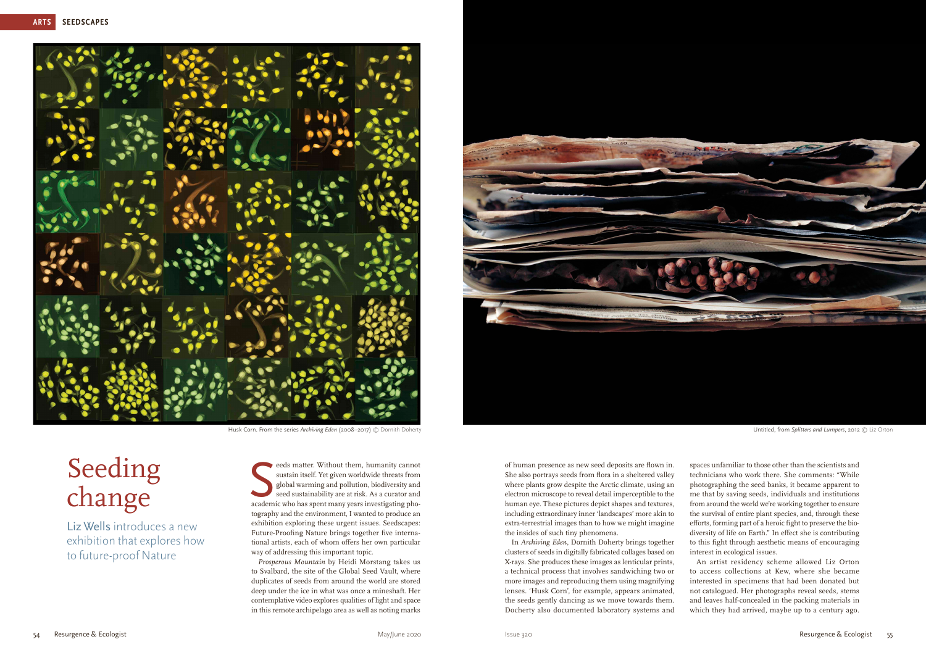

Husk Corn. From the series *Archiving Eden* (2008–2017) © Dornith Doherty **Commission** Untitled, from *Splitters and Lumpers*, 2012 © Liz Orton

eeds matter. Without them, humanity cannot sustain itself. Yet given worldwide threats from global warming and pollution, biodiversity and seed sustainability are at risk. As a curator and academic who has spent many years  $\epsilon$  eeds matter. Without them, humanity cannot sustain itself. Yet given worldwide threats from global warming and pollution, biodiversity and seed sustainability are at risk. As a curator and tography and the environment, I wanted to produce an exhibition exploring these urgent issues. Seedscapes: Future-Proofing Nature brings together five international artists, each of whom offers her own particular way of addressing this important topic.

*Prosperous Mountain* by Heidi Morstang takes us to Svalbard, the site of the Global Seed Vault, where duplicates of seeds from around the world are stored deep under the ice in what was once a mineshaft. Her contemplative video explores qualities of light and space in this remote archipelago area as well as noting marks



Seeding change

Liz Wells introduces a new exhibition that explores how to future-proof Nature

of human presence as new seed deposits are flown in. She also portrays seeds from flora in a sheltered valley where plants grow despite the Arctic climate, using an electron microscope to reveal detail imperceptible to the human eye. These pictures depict shapes and textures, including extraordinary inner 'landscapes' more akin to extra-terrestrial images than to how we might imagine the insides of such tiny phenomena.

In *Archiving Eden*, Dornith Doherty brings together clusters of seeds in digitally fabricated collages based on X-rays. She produces these images as lenticular prints, a technical process that involves sandwiching two or more images and reproducing them using magnifying lenses. 'Husk Corn', for example, appears animated, the seeds gently dancing as we move towards them. Docherty also documented laboratory systems and

spaces unfamiliar to those other than the scientists and technicians who work there. She comments: "While photographing the seed banks, it became apparent to me that by saving seeds, individuals and institutions from around the world we're working together to ensure the survival of entire plant species, and, through these efforts, forming part of a heroic fight to preserve the biodiversity of life on Earth." In effect she is contributing to this fight through aesthetic means of encouraging interest in ecological issues.

An artist residency scheme allowed Liz Orton to access collections at Kew, where she became interested in specimens that had been donated but not catalogued. Her photographs reveal seeds, stems and leaves half-concealed in the packing materials in which they had arrived, maybe up to a century ago.